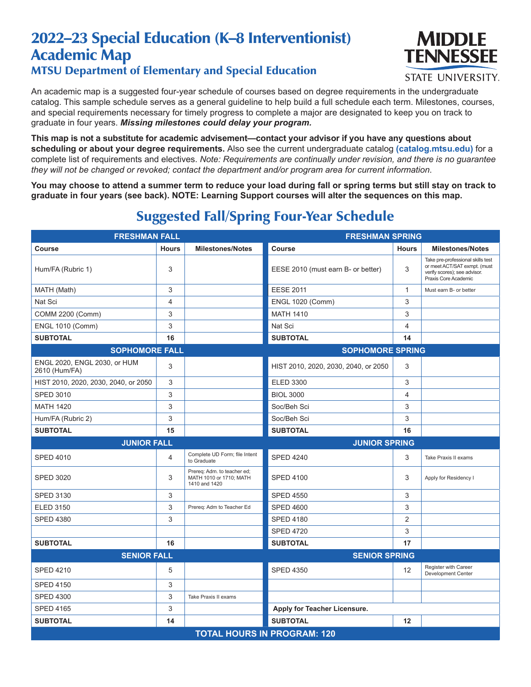## 2022–23 Special Education (K–8 Interventionist) Academic Map MTSU Department of Elementary and Special Education



**STATE UNIVERSITY.** 

An academic map is a suggested four-year schedule of courses based on degree requirements in the undergraduate catalog. This sample schedule serves as a general guideline to help build a full schedule each term. Milestones, courses, and special requirements necessary for timely progress to complete a major are designated to keep you on track to graduate in four years. *Missing milestones could delay your program.*

**This map is not a substitute for academic advisement—contact your advisor if you have any questions about scheduling or about your degree requirements.** Also see the current undergraduate catalog **(catalog.mtsu.edu)** for a complete list of requirements and electives. *Note: Requirements are continually under revision, and there is no guarantee they will not be changed or revoked; contact the department and/or program area for current information.*

**You may choose to attend a summer term to reduce your load during fall or spring terms but still stay on track to graduate in four years (see back). NOTE: Learning Support courses will alter the sequences on this map.**

| <b>FRESHMAN FALL</b>                          |                |                                                                         | <b>FRESHMAN SPRING</b>               |                |                                                                                                                           |  |  |
|-----------------------------------------------|----------------|-------------------------------------------------------------------------|--------------------------------------|----------------|---------------------------------------------------------------------------------------------------------------------------|--|--|
| Course                                        | <b>Hours</b>   | <b>Milestones/Notes</b>                                                 | <b>Course</b>                        | <b>Hours</b>   | <b>Milestones/Notes</b>                                                                                                   |  |  |
| Hum/FA (Rubric 1)                             | 3              |                                                                         | EESE 2010 (must earn B- or better)   | 3              | Take pre-professional skills test<br>or meet ACT/SAT exmpt. (must<br>verify scores); see advisor.<br>Praxis Core Academic |  |  |
| MATH (Math)                                   | 3              |                                                                         | <b>EESE 2011</b>                     | $\mathbf{1}$   | Must earn B- or better                                                                                                    |  |  |
| Nat Sci                                       | $\overline{4}$ |                                                                         | <b>ENGL 1020 (Comm)</b>              | 3              |                                                                                                                           |  |  |
| COMM 2200 (Comm)                              | 3              |                                                                         | <b>MATH 1410</b>                     | 3              |                                                                                                                           |  |  |
| <b>ENGL 1010 (Comm)</b>                       | 3              |                                                                         | Nat Sci                              | 4              |                                                                                                                           |  |  |
| <b>SUBTOTAL</b>                               | 16             |                                                                         | <b>SUBTOTAL</b>                      | 14             |                                                                                                                           |  |  |
| <b>SOPHOMORE FALL</b>                         |                |                                                                         | <b>SOPHOMORE SPRING</b>              |                |                                                                                                                           |  |  |
| ENGL 2020, ENGL 2030, or HUM<br>2610 (Hum/FA) | 3              |                                                                         | HIST 2010, 2020, 2030, 2040, or 2050 | 3              |                                                                                                                           |  |  |
| HIST 2010, 2020, 2030, 2040, or 2050          | 3              |                                                                         | <b>ELED 3300</b>                     | 3              |                                                                                                                           |  |  |
| <b>SPED 3010</b>                              | 3              |                                                                         | <b>BIOL 3000</b>                     | 4              |                                                                                                                           |  |  |
| <b>MATH 1420</b>                              | 3              |                                                                         | Soc/Beh Sci                          | 3              |                                                                                                                           |  |  |
| Hum/FA (Rubric 2)                             | 3              |                                                                         | Soc/Beh Sci                          | 3              |                                                                                                                           |  |  |
| <b>SUBTOTAL</b>                               | 15             |                                                                         | <b>SUBTOTAL</b>                      | 16             |                                                                                                                           |  |  |
| <b>JUNIOR FALL</b>                            |                | <b>JUNIOR SPRING</b>                                                    |                                      |                |                                                                                                                           |  |  |
| <b>SPED 4010</b>                              | 4              | Complete UD Form; file Intent<br>to Graduate                            | <b>SPED 4240</b>                     | 3              | Take Praxis II exams                                                                                                      |  |  |
| <b>SPED 3020</b>                              | 3              | Prereq: Adm. to teacher ed;<br>MATH 1010 or 1710; MATH<br>1410 and 1420 | <b>SPED 4100</b>                     | 3              | Apply for Residency I                                                                                                     |  |  |
| <b>SPED 3130</b>                              | 3              |                                                                         | <b>SPED 4550</b>                     | 3              |                                                                                                                           |  |  |
| <b>ELED 3150</b>                              | 3              | Prereq: Adm to Teacher Ed                                               | <b>SPED 4600</b>                     | 3              |                                                                                                                           |  |  |
| <b>SPED 4380</b>                              | 3              |                                                                         | <b>SPED 4180</b>                     | $\overline{2}$ |                                                                                                                           |  |  |
|                                               |                |                                                                         | <b>SPED 4720</b>                     | 3              |                                                                                                                           |  |  |
| <b>SUBTOTAL</b>                               | 16             |                                                                         | <b>SUBTOTAL</b>                      | 17             |                                                                                                                           |  |  |
| <b>SENIOR FALL</b>                            |                |                                                                         | <b>SENIOR SPRING</b>                 |                |                                                                                                                           |  |  |
| <b>SPED 4210</b>                              | 5              |                                                                         | <b>SPED 4350</b>                     | 12             | Register with Career<br>Development Center                                                                                |  |  |
| <b>SPED 4150</b>                              | 3              |                                                                         |                                      |                |                                                                                                                           |  |  |
| <b>SPED 4300</b>                              | 3              | Take Praxis II exams                                                    |                                      |                |                                                                                                                           |  |  |
| <b>SPED 4165</b>                              | 3              |                                                                         | Apply for Teacher Licensure.         |                |                                                                                                                           |  |  |
| <b>SUBTOTAL</b>                               | 14             |                                                                         | <b>SUBTOTAL</b>                      | 12             |                                                                                                                           |  |  |
| <b>TOTAL HOURS IN PROGRAM: 120</b>            |                |                                                                         |                                      |                |                                                                                                                           |  |  |

## Suggested Fall/Spring Four-Year Schedule